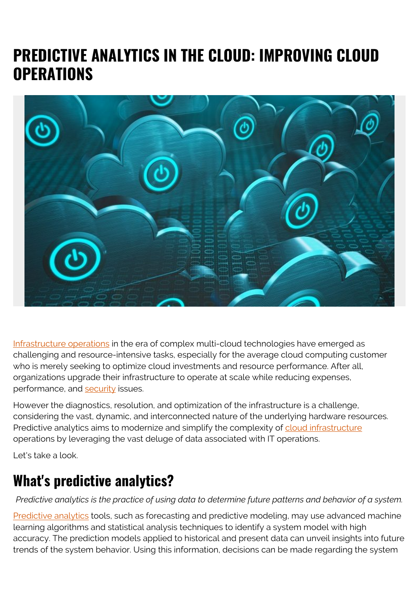# **PREDICTIVE ANALYTICS IN THE CLOUD: IMPROVING CLOUD OPERATIONS**



[Infrastructure operations](https://blogs.bmc.com/blogs/it-infrastructure-management/) in the era of complex multi-cloud technologies have emerged as challenging and resource-intensive tasks, especially for the average cloud computing customer who is merely seeking to optimize cloud investments and resource performance. After all, organizations upgrade their infrastructure to operate at scale while reducing expenses, performance, and [security](https://blogs.bmc.com/blogs/security-vulnerability-vs-threat-vs-risk-whats-difference/) issues.

However the diagnostics, resolution, and optimization of the infrastructure is a challenge, considering the vast, dynamic, and interconnected nature of the underlying hardware resources. Predictive analytics aims to modernize and simplify the complexity of [cloud infrastructure](https://blogs.bmc.com/blogs/cloud-infrastructure/) operations by leveraging the vast deluge of data associated with IT operations.

Let's take a look.

## **What's predictive analytics?**

*Predictive analytics is the practice of using data to determine future patterns and behavior of a system.*

[Predictive analytics](https://blogs.bmc.com/blogs/machine-learning-vs-predictive-analytics/) tools, such as forecasting and predictive modeling, may use advanced machine learning algorithms and statistical analysis techniques to identify a system model with high accuracy. The prediction models applied to historical and present data can unveil insights into future trends of the system behavior. Using this information, decisions can be made regarding the system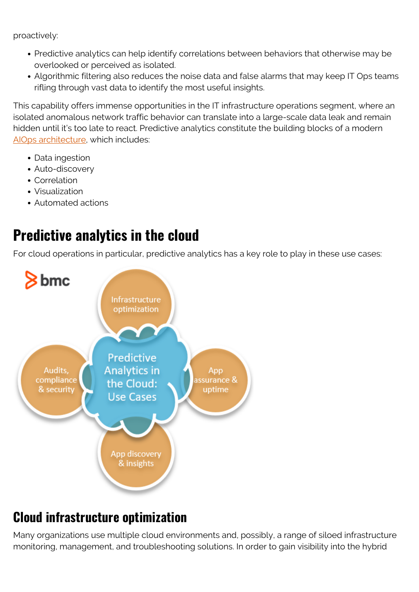proactively:

- Predictive analytics can help identify correlations between behaviors that otherwise may be overlooked or perceived as isolated.
- Algorithmic filtering also reduces the noise data and false alarms that may keep IT Ops teams rifling through vast data to identify the most useful insights.

This capability offers immense opportunities in the IT infrastructure operations segment, where an isolated anomalous network traffic behavior can translate into a large-scale data leak and remain hidden until it's too late to react. Predictive analytics constitute the building blocks of a modern [AIOps architecture](https://blogs.bmc.com/learn/what-is-aiops.html), which includes:

- Data ingestion
- Auto-discovery
- Correlation
- Visualization
- Automated actions

## **Predictive analytics in the cloud**

For cloud operations in particular, predictive analytics has a key role to play in these use cases:



## **Cloud infrastructure optimization**

Many organizations use multiple cloud environments and, possibly, a range of siloed infrastructure monitoring, management, and troubleshooting solutions. In order to gain visibility into the hybrid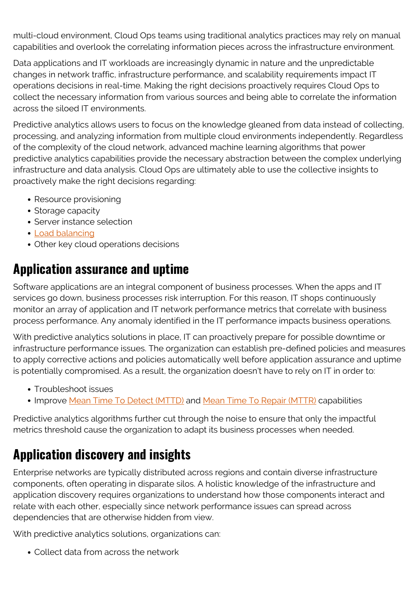multi-cloud environment, Cloud Ops teams using traditional analytics practices may rely on manual capabilities and overlook the correlating information pieces across the infrastructure environment.

Data applications and IT workloads are increasingly dynamic in nature and the unpredictable changes in network traffic, infrastructure performance, and scalability requirements impact IT operations decisions in real-time. Making the right decisions proactively requires Cloud Ops to collect the necessary information from various sources and being able to correlate the information across the siloed IT environments.

Predictive analytics allows users to focus on the knowledge gleaned from data instead of collecting, processing, and analyzing information from multiple cloud environments independently. Regardless of the complexity of the cloud network, advanced machine learning algorithms that power predictive analytics capabilities provide the necessary abstraction between the complex underlying infrastructure and data analysis. Cloud Ops are ultimately able to use the collective insights to proactively make the right decisions regarding:

- Resource provisioning
- Storage capacity
- Server instance selection
- [Load balancing](https://blogs.bmc.com/blogs/load-balancing/)
- Other key cloud operations decisions

#### **Application assurance and uptime**

Software applications are an integral component of business processes. When the apps and IT services go down, business processes risk interruption. For this reason, IT shops continuously monitor an array of application and IT network performance metrics that correlate with business process performance. Any anomaly identified in the IT performance impacts business operations.

With predictive analytics solutions in place, IT can proactively prepare for possible downtime or infrastructure performance issues. The organization can establish pre-defined policies and measures to apply corrective actions and policies automatically well before application assurance and uptime is potentially compromised. As a result, the organization doesn't have to rely on IT in order to:

- Troubleshoot issues
- Improve [Mean Time To Detect \(MTTD\)](https://blogs.bmc.com/blogs/mttd-mean-time-to-detect/) and [Mean Time To Repair \(MTTR\)](https://blogs.bmc.com/blogs/mtbf-vs-mtff-vs-mttr-whats-difference/) capabilities

Predictive analytics algorithms further cut through the noise to ensure that only the impactful metrics threshold cause the organization to adapt its business processes when needed.

### **Application discovery and insights**

Enterprise networks are typically distributed across regions and contain diverse infrastructure components, often operating in disparate silos. A holistic knowledge of the infrastructure and application discovery requires organizations to understand how those components interact and relate with each other, especially since network performance issues can spread across dependencies that are otherwise hidden from view.

With predictive analytics solutions, organizations can:

Collect data from across the network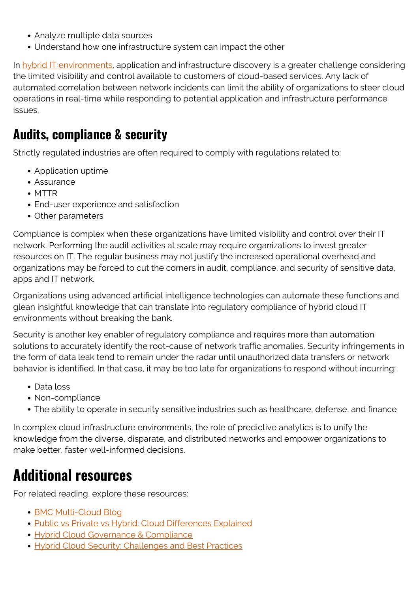- Analyze multiple data sources
- Understand how one infrastructure system can impact the other

In [hybrid IT environments,](https://blogs.bmc.com/blogs/hybrid-it/) application and infrastructure discovery is a greater challenge considering the limited visibility and control available to customers of cloud-based services. Any lack of automated correlation between network incidents can limit the ability of organizations to steer cloud operations in real-time while responding to potential application and infrastructure performance issues.

#### **Audits, compliance & security**

Strictly regulated industries are often required to comply with regulations related to:

- Application uptime
- Assurance
- MTTR
- End-user experience and satisfaction
- Other parameters

Compliance is complex when these organizations have limited visibility and control over their IT network. Performing the audit activities at scale may require organizations to invest greater resources on IT. The regular business may not justify the increased operational overhead and organizations may be forced to cut the corners in audit, compliance, and security of sensitive data, apps and IT network.

Organizations using advanced artificial intelligence technologies can automate these functions and glean insightful knowledge that can translate into regulatory compliance of hybrid cloud IT environments without breaking the bank.

Security is another key enabler of regulatory compliance and requires more than automation solutions to accurately identify the root-cause of network traffic anomalies. Security infringements in the form of data leak tend to remain under the radar until unauthorized data transfers or network behavior is identified. In that case, it may be too late for organizations to respond without incurring:

- Data loss
- Non-compliance
- The ability to operate in security sensitive industries such as healthcare, defense, and finance

In complex cloud infrastructure environments, the role of predictive analytics is to unify the knowledge from the diverse, disparate, and distributed networks and empower organizations to make better, faster well-informed decisions.

## **Additional resources**

For related reading, explore these resources:

- [BMC Multi-Cloud Blog](https://blogs.bmc.com/blogs/categories/cloud/)
- [Public vs Private vs Hybrid: Cloud Differences Explained](https://blogs.bmc.com/blogs/public-private-hybrid-cloud/)
- [Hybrid Cloud Governance & Compliance](https://blogs.bmc.com/blogs/hybrid-cloud-governance-compliance/)
- [Hybrid Cloud Security: Challenges and Best Practices](https://blogs.bmc.com/blogs/hybrid-cloud-security/)